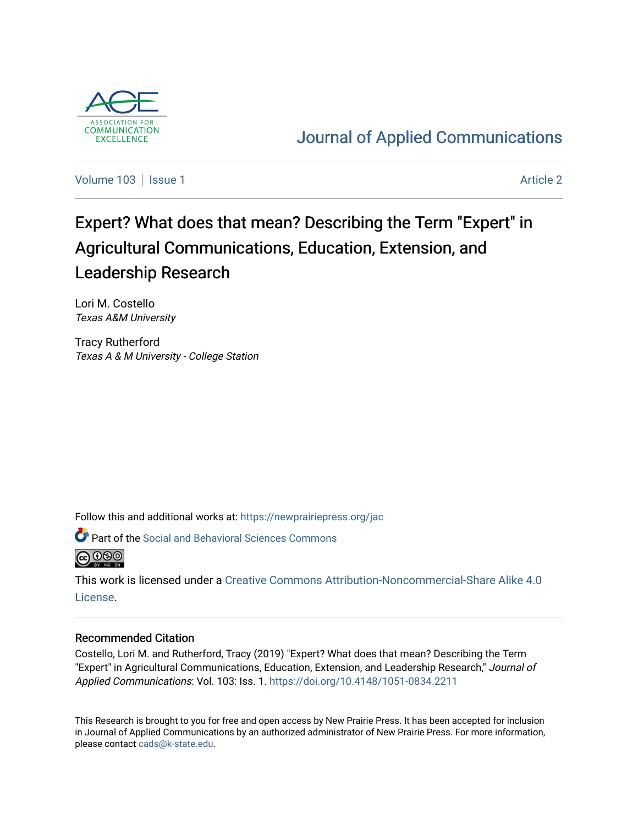

## [Journal of Applied Communications](https://newprairiepress.org/jac)

[Volume 103](https://newprairiepress.org/jac/vol103) | [Issue 1](https://newprairiepress.org/jac/vol103/iss1) [Article 2](https://newprairiepress.org/jac/vol103/iss1/2) Article 2 Article 2 Article 2 Article 2 Article 2

# Expert? What does that mean? Describing the Term "Expert" in Agricultural Communications, Education, Extension, and Leadership Research

Lori M. Costello Texas A&M University

Tracy Rutherford Texas A & M University - College Station

Follow this and additional works at: [https://newprairiepress.org/jac](https://newprairiepress.org/jac?utm_source=newprairiepress.org%2Fjac%2Fvol103%2Fiss1%2F2&utm_medium=PDF&utm_campaign=PDFCoverPages)



**P** Part of the Social and Behavioral Sciences Commons

This work is licensed under a [Creative Commons Attribution-Noncommercial-Share Alike 4.0](https://creativecommons.org/licenses/by-nc-sa/4.0/) [License.](https://creativecommons.org/licenses/by-nc-sa/4.0/)

## Recommended Citation

Costello, Lori M. and Rutherford, Tracy (2019) "Expert? What does that mean? Describing the Term "Expert" in Agricultural Communications, Education, Extension, and Leadership Research," Journal of Applied Communications: Vol. 103: Iss. 1. <https://doi.org/10.4148/1051-0834.2211>

This Research is brought to you for free and open access by New Prairie Press. It has been accepted for inclusion in Journal of Applied Communications by an authorized administrator of New Prairie Press. For more information, please contact [cads@k-state.edu.](mailto:cads@k-state.edu)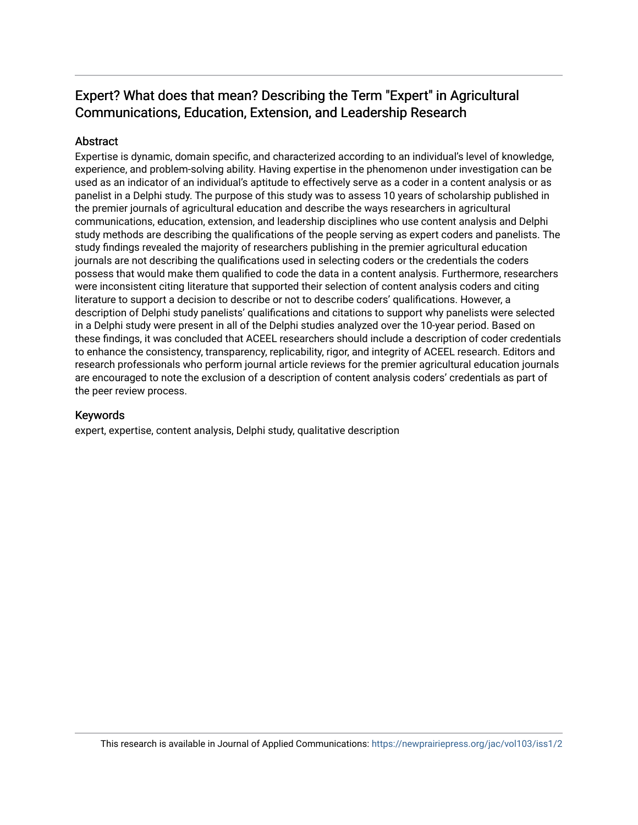## Expert? What does that mean? Describing the Term "Expert" in Agricultural Communications, Education, Extension, and Leadership Research

## Abstract

Expertise is dynamic, domain specific, and characterized according to an individual's level of knowledge, experience, and problem-solving ability. Having expertise in the phenomenon under investigation can be used as an indicator of an individual's aptitude to effectively serve as a coder in a content analysis or as panelist in a Delphi study. The purpose of this study was to assess 10 years of scholarship published in the premier journals of agricultural education and describe the ways researchers in agricultural communications, education, extension, and leadership disciplines who use content analysis and Delphi study methods are describing the qualifications of the people serving as expert coders and panelists. The study findings revealed the majority of researchers publishing in the premier agricultural education journals are not describing the qualifications used in selecting coders or the credentials the coders possess that would make them qualified to code the data in a content analysis. Furthermore, researchers were inconsistent citing literature that supported their selection of content analysis coders and citing literature to support a decision to describe or not to describe coders' qualifications. However, a description of Delphi study panelists' qualifications and citations to support why panelists were selected in a Delphi study were present in all of the Delphi studies analyzed over the 10-year period. Based on these findings, it was concluded that ACEEL researchers should include a description of coder credentials to enhance the consistency, transparency, replicability, rigor, and integrity of ACEEL research. Editors and research professionals who perform journal article reviews for the premier agricultural education journals are encouraged to note the exclusion of a description of content analysis coders' credentials as part of the peer review process.

## Keywords

expert, expertise, content analysis, Delphi study, qualitative description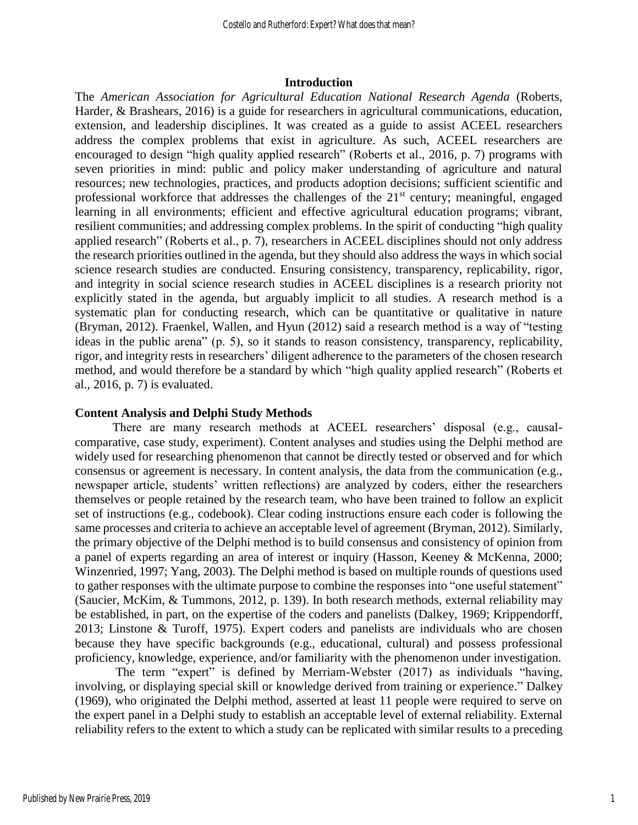#### **Introduction**

The *American Association for Agricultural Education National Research Agenda* (Roberts, Harder, & Brashears, 2016) is a guide for researchers in agricultural communications, education, extension, and leadership disciplines. It was created as a guide to assist ACEEL researchers address the complex problems that exist in agriculture. As such, ACEEL researchers are encouraged to design "high quality applied research" (Roberts et al., 2016, p. 7) programs with seven priorities in mind: public and policy maker understanding of agriculture and natural resources; new technologies, practices, and products adoption decisions; sufficient scientific and professional workforce that addresses the challenges of the  $21<sup>st</sup>$  century; meaningful, engaged learning in all environments; efficient and effective agricultural education programs; vibrant, resilient communities; and addressing complex problems. In the spirit of conducting "high quality applied research" (Roberts et al., p. 7), researchers in ACEEL disciplines should not only address the research priorities outlined in the agenda, but they should also address the ways in which social science research studies are conducted. Ensuring consistency, transparency, replicability, rigor, and integrity in social science research studies in ACEEL disciplines is a research priority not explicitly stated in the agenda, but arguably implicit to all studies. A research method is a systematic plan for conducting research, which can be quantitative or qualitative in nature (Bryman, 2012). Fraenkel, Wallen, and Hyun (2012) said a research method is a way of "testing ideas in the public arena" (p. 5), so it stands to reason consistency, transparency, replicability, rigor, and integrity rests in researchers' diligent adherence to the parameters of the chosen research method, and would therefore be a standard by which "high quality applied research" (Roberts et al., 2016, p. 7) is evaluated.

#### **Content Analysis and Delphi Study Methods**

There are many research methods at ACEEL researchers' disposal (e.g., causalcomparative, case study, experiment). Content analyses and studies using the Delphi method are widely used for researching phenomenon that cannot be directly tested or observed and for which consensus or agreement is necessary. In content analysis, the data from the communication (e.g., newspaper article, students' written reflections) are analyzed by coders, either the researchers themselves or people retained by the research team, who have been trained to follow an explicit set of instructions (e.g., codebook). Clear coding instructions ensure each coder is following the same processes and criteria to achieve an acceptable level of agreement (Bryman, 2012). Similarly, the primary objective of the Delphi method is to build consensus and consistency of opinion from a panel of experts regarding an area of interest or inquiry (Hasson, Keeney & McKenna, 2000; Winzenried, 1997; Yang, 2003). The Delphi method is based on multiple rounds of questions used to gather responses with the ultimate purpose to combine the responses into "one useful statement" (Saucier, McKim, & Tummons, 2012, p. 139). In both research methods, external reliability may be established, in part, on the expertise of the coders and panelists (Dalkey, 1969; Krippendorff, 2013; Linstone & Turoff, 1975). Expert coders and panelists are individuals who are chosen because they have specific backgrounds (e.g., educational, cultural) and possess professional proficiency, knowledge, experience, and/or familiarity with the phenomenon under investigation.

The term "expert" is defined by Merriam-Webster (2017) as individuals "having, involving, or displaying special skill or knowledge derived from training or experience." Dalkey (1969), who originated the Delphi method, asserted at least 11 people were required to serve on the expert panel in a Delphi study to establish an acceptable level of external reliability. External reliability refers to the extent to which a study can be replicated with similar results to a preceding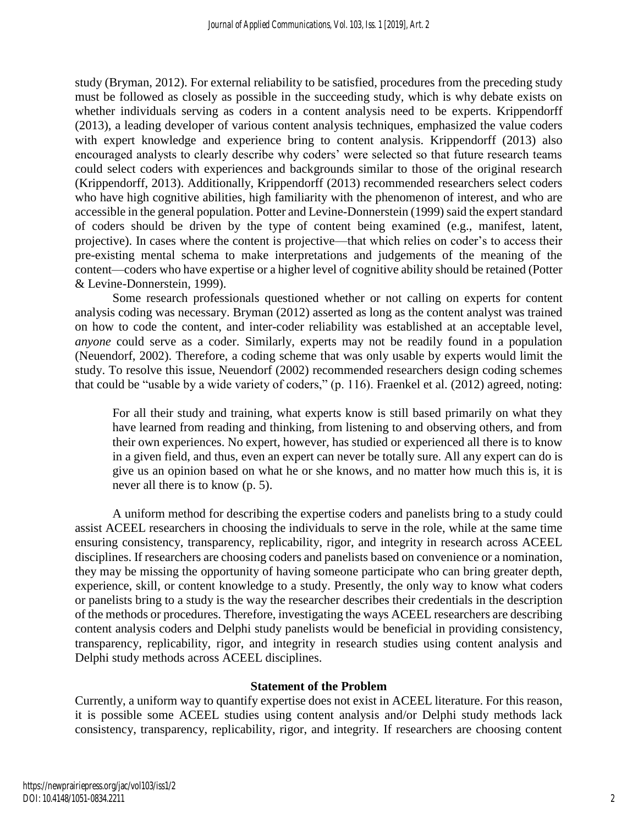study (Bryman, 2012). For external reliability to be satisfied, procedures from the preceding study must be followed as closely as possible in the succeeding study, which is why debate exists on whether individuals serving as coders in a content analysis need to be experts. Krippendorff (2013), a leading developer of various content analysis techniques, emphasized the value coders with expert knowledge and experience bring to content analysis. Krippendorff (2013) also encouraged analysts to clearly describe why coders' were selected so that future research teams could select coders with experiences and backgrounds similar to those of the original research (Krippendorff, 2013). Additionally, Krippendorff (2013) recommended researchers select coders who have high cognitive abilities, high familiarity with the phenomenon of interest, and who are accessible in the general population. Potter and Levine-Donnerstein (1999) said the expert standard of coders should be driven by the type of content being examined (e.g., manifest, latent, projective). In cases where the content is projective—that which relies on coder's to access their pre-existing mental schema to make interpretations and judgements of the meaning of the content—coders who have expertise or a higher level of cognitive ability should be retained (Potter & Levine-Donnerstein, 1999).

Some research professionals questioned whether or not calling on experts for content analysis coding was necessary. Bryman (2012) asserted as long as the content analyst was trained on how to code the content, and inter-coder reliability was established at an acceptable level, *anyone* could serve as a coder. Similarly, experts may not be readily found in a population (Neuendorf, 2002). Therefore, a coding scheme that was only usable by experts would limit the study. To resolve this issue, Neuendorf (2002) recommended researchers design coding schemes that could be "usable by a wide variety of coders," (p. 116). Fraenkel et al. (2012) agreed, noting:

For all their study and training, what experts know is still based primarily on what they have learned from reading and thinking, from listening to and observing others, and from their own experiences. No expert, however, has studied or experienced all there is to know in a given field, and thus, even an expert can never be totally sure. All any expert can do is give us an opinion based on what he or she knows, and no matter how much this is, it is never all there is to know (p. 5).

A uniform method for describing the expertise coders and panelists bring to a study could assist ACEEL researchers in choosing the individuals to serve in the role, while at the same time ensuring consistency, transparency, replicability, rigor, and integrity in research across ACEEL disciplines. If researchers are choosing coders and panelists based on convenience or a nomination, they may be missing the opportunity of having someone participate who can bring greater depth, experience, skill, or content knowledge to a study. Presently, the only way to know what coders or panelists bring to a study is the way the researcher describes their credentials in the description of the methods or procedures. Therefore, investigating the ways ACEEL researchers are describing content analysis coders and Delphi study panelists would be beneficial in providing consistency, transparency, replicability, rigor, and integrity in research studies using content analysis and Delphi study methods across ACEEL disciplines.

## **Statement of the Problem**

Currently, a uniform way to quantify expertise does not exist in ACEEL literature. For this reason, it is possible some ACEEL studies using content analysis and/or Delphi study methods lack consistency, transparency, replicability, rigor, and integrity. If researchers are choosing content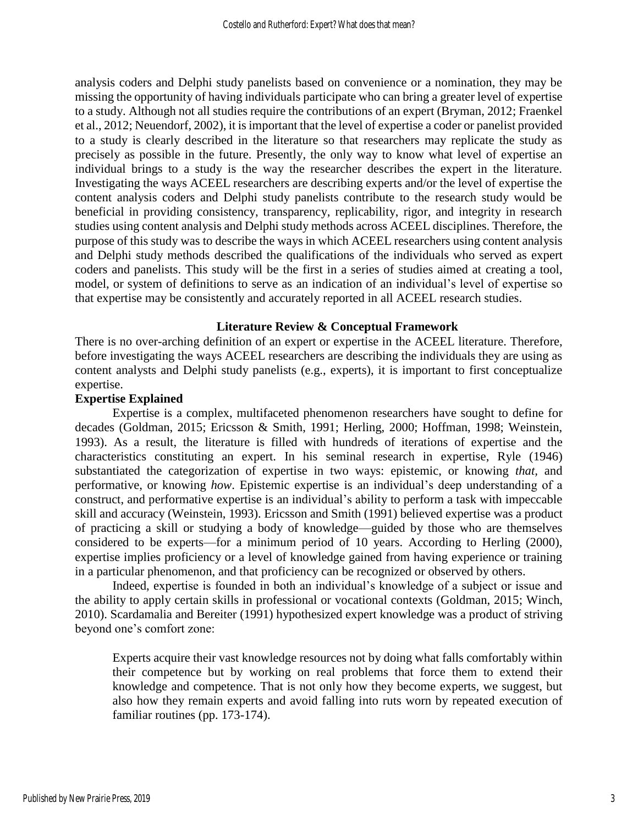analysis coders and Delphi study panelists based on convenience or a nomination, they may be missing the opportunity of having individuals participate who can bring a greater level of expertise to a study. Although not all studies require the contributions of an expert (Bryman, 2012; Fraenkel et al., 2012; Neuendorf, 2002), it is important that the level of expertise a coder or panelist provided to a study is clearly described in the literature so that researchers may replicate the study as precisely as possible in the future. Presently, the only way to know what level of expertise an individual brings to a study is the way the researcher describes the expert in the literature. Investigating the ways ACEEL researchers are describing experts and/or the level of expertise the content analysis coders and Delphi study panelists contribute to the research study would be beneficial in providing consistency, transparency, replicability, rigor, and integrity in research studies using content analysis and Delphi study methods across ACEEL disciplines. Therefore, the purpose of this study was to describe the ways in which ACEEL researchers using content analysis and Delphi study methods described the qualifications of the individuals who served as expert coders and panelists. This study will be the first in a series of studies aimed at creating a tool, model, or system of definitions to serve as an indication of an individual's level of expertise so that expertise may be consistently and accurately reported in all ACEEL research studies.

## **Literature Review & Conceptual Framework**

There is no over-arching definition of an expert or expertise in the ACEEL literature. Therefore, before investigating the ways ACEEL researchers are describing the individuals they are using as content analysts and Delphi study panelists (e.g., experts), it is important to first conceptualize expertise.

## **Expertise Explained**

Expertise is a complex, multifaceted phenomenon researchers have sought to define for decades (Goldman, 2015; Ericsson & Smith, 1991; Herling, 2000; Hoffman, 1998; Weinstein, 1993). As a result, the literature is filled with hundreds of iterations of expertise and the characteristics constituting an expert. In his seminal research in expertise, Ryle (1946) substantiated the categorization of expertise in two ways: epistemic, or knowing *that,* and performative, or knowing *how*. Epistemic expertise is an individual's deep understanding of a construct, and performative expertise is an individual's ability to perform a task with impeccable skill and accuracy (Weinstein, 1993). Ericsson and Smith (1991) believed expertise was a product of practicing a skill or studying a body of knowledge—guided by those who are themselves considered to be experts—for a minimum period of 10 years. According to Herling (2000), expertise implies proficiency or a level of knowledge gained from having experience or training in a particular phenomenon, and that proficiency can be recognized or observed by others.

Indeed, expertise is founded in both an individual's knowledge of a subject or issue and the ability to apply certain skills in professional or vocational contexts (Goldman, 2015; Winch, 2010). Scardamalia and Bereiter (1991) hypothesized expert knowledge was a product of striving beyond one's comfort zone:

Experts acquire their vast knowledge resources not by doing what falls comfortably within their competence but by working on real problems that force them to extend their knowledge and competence. That is not only how they become experts, we suggest, but also how they remain experts and avoid falling into ruts worn by repeated execution of familiar routines (pp. 173-174).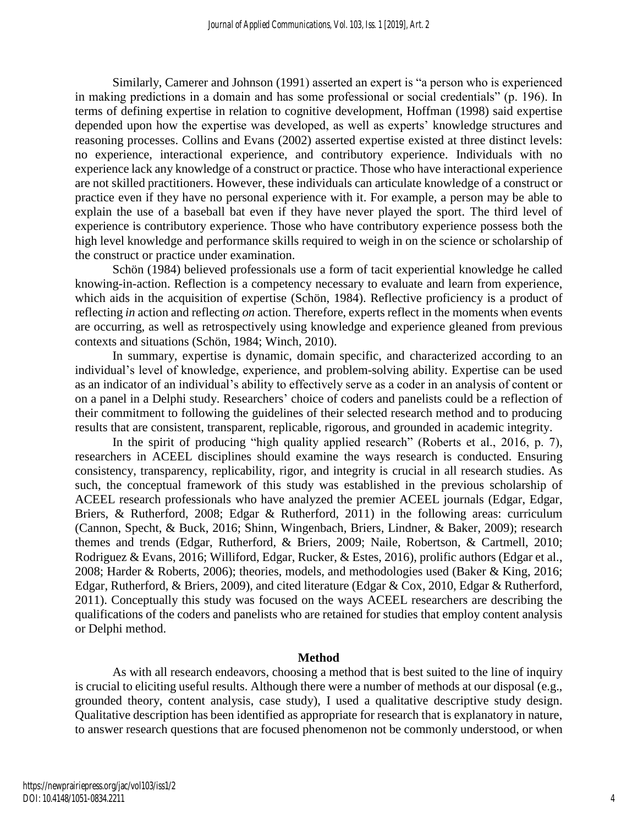Similarly, Camerer and Johnson (1991) asserted an expert is "a person who is experienced in making predictions in a domain and has some professional or social credentials" (p. 196). In terms of defining expertise in relation to cognitive development, Hoffman (1998) said expertise depended upon how the expertise was developed, as well as experts' knowledge structures and reasoning processes. Collins and Evans (2002) asserted expertise existed at three distinct levels: no experience, interactional experience, and contributory experience. Individuals with no experience lack any knowledge of a construct or practice. Those who have interactional experience are not skilled practitioners. However, these individuals can articulate knowledge of a construct or practice even if they have no personal experience with it. For example, a person may be able to explain the use of a baseball bat even if they have never played the sport. The third level of experience is contributory experience. Those who have contributory experience possess both the high level knowledge and performance skills required to weigh in on the science or scholarship of the construct or practice under examination.

Schön (1984) believed professionals use a form of tacit experiential knowledge he called knowing-in-action. Reflection is a competency necessary to evaluate and learn from experience, which aids in the acquisition of expertise (Schön, 1984). Reflective proficiency is a product of reflecting *in* action and reflecting *on* action. Therefore, experts reflect in the moments when events are occurring, as well as retrospectively using knowledge and experience gleaned from previous contexts and situations (Schön, 1984; Winch, 2010).

In summary, expertise is dynamic, domain specific, and characterized according to an individual's level of knowledge, experience, and problem-solving ability. Expertise can be used as an indicator of an individual's ability to effectively serve as a coder in an analysis of content or on a panel in a Delphi study. Researchers' choice of coders and panelists could be a reflection of their commitment to following the guidelines of their selected research method and to producing results that are consistent, transparent, replicable, rigorous, and grounded in academic integrity.

In the spirit of producing "high quality applied research" (Roberts et al., 2016, p. 7), researchers in ACEEL disciplines should examine the ways research is conducted. Ensuring consistency, transparency, replicability, rigor, and integrity is crucial in all research studies. As such, the conceptual framework of this study was established in the previous scholarship of ACEEL research professionals who have analyzed the premier ACEEL journals (Edgar, Edgar, Briers, & Rutherford, 2008; Edgar & Rutherford, 2011) in the following areas: curriculum (Cannon, Specht, & Buck, 2016; Shinn, Wingenbach, Briers, Lindner, & Baker, 2009); research themes and trends (Edgar, Rutherford, & Briers, 2009; Naile, Robertson, & Cartmell, 2010; Rodriguez & Evans, 2016; Williford, Edgar, Rucker, & Estes, 2016), prolific authors (Edgar et al., 2008; Harder & Roberts, 2006); theories, models, and methodologies used (Baker & King, 2016; Edgar, Rutherford, & Briers, 2009), and cited literature (Edgar & Cox, 2010, Edgar & Rutherford, 2011). Conceptually this study was focused on the ways ACEEL researchers are describing the qualifications of the coders and panelists who are retained for studies that employ content analysis or Delphi method.

## **Method**

As with all research endeavors, choosing a method that is best suited to the line of inquiry is crucial to eliciting useful results. Although there were a number of methods at our disposal (e.g., grounded theory, content analysis, case study), I used a qualitative descriptive study design. Qualitative description has been identified as appropriate for research that is explanatory in nature, to answer research questions that are focused phenomenon not be commonly understood, or when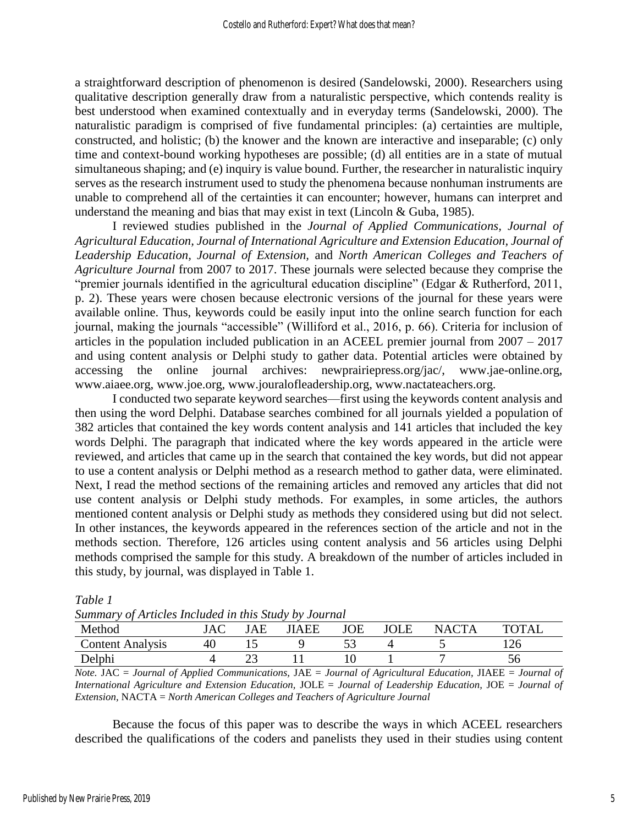a straightforward description of phenomenon is desired (Sandelowski, 2000). Researchers using qualitative description generally draw from a naturalistic perspective, which contends reality is best understood when examined contextually and in everyday terms (Sandelowski, 2000). The naturalistic paradigm is comprised of five fundamental principles: (a) certainties are multiple, constructed, and holistic; (b) the knower and the known are interactive and inseparable; (c) only time and context-bound working hypotheses are possible; (d) all entities are in a state of mutual simultaneous shaping; and (e) inquiry is value bound. Further, the researcher in naturalistic inquiry serves as the research instrument used to study the phenomena because nonhuman instruments are unable to comprehend all of the certainties it can encounter; however, humans can interpret and understand the meaning and bias that may exist in text (Lincoln & Guba, 1985).

I reviewed studies published in the *Journal of Applied Communications, Journal of Agricultural Education, Journal of International Agriculture and Extension Education, Journal of Leadership Education, Journal of Extension,* and *North American Colleges and Teachers of Agriculture Journal* from 2007 to 2017. These journals were selected because they comprise the "premier journals identified in the agricultural education discipline" (Edgar & Rutherford, 2011, p. 2). These years were chosen because electronic versions of the journal for these years were available online. Thus, keywords could be easily input into the online search function for each journal, making the journals "accessible" (Williford et al., 2016, p. 66). Criteria for inclusion of articles in the population included publication in an ACEEL premier journal from 2007 – 2017 and using content analysis or Delphi study to gather data. Potential articles were obtained by accessing the online journal archives: newprairiepress.org/jac/, www.jae-online.org, www.aiaee.org, www.joe.org, www.jouralofleadership.org, www.nactateachers.org.

I conducted two separate keyword searches—first using the keywords content analysis and then using the word Delphi. Database searches combined for all journals yielded a population of 382 articles that contained the key words content analysis and 141 articles that included the key words Delphi. The paragraph that indicated where the key words appeared in the article were reviewed, and articles that came up in the search that contained the key words, but did not appear to use a content analysis or Delphi method as a research method to gather data, were eliminated. Next, I read the method sections of the remaining articles and removed any articles that did not use content analysis or Delphi study methods. For examples, in some articles, the authors mentioned content analysis or Delphi study as methods they considered using but did not select. In other instances, the keywords appeared in the references section of the article and not in the methods section. Therefore, 126 articles using content analysis and 56 articles using Delphi methods comprised the sample for this study. A breakdown of the number of articles included in this study, by journal, was displayed in Table 1.

| Summary of Articles Included in this Study by Journal |     |     |             |      |      |              |       |  |  |  |  |  |
|-------------------------------------------------------|-----|-----|-------------|------|------|--------------|-------|--|--|--|--|--|
| Method                                                | IAC | IAE | <b>HAEE</b> | IOE. | TOLE | <b>NACTA</b> | TOTAL |  |  |  |  |  |
| <b>Content Analysis</b>                               |     |     |             |      |      |              | 76    |  |  |  |  |  |
| Delphi                                                |     |     |             |      |      |              |       |  |  |  |  |  |

*Table 1*

*Note.* JAC = *Journal of Applied Communications,* JAE = *Journal of Agricultural Education,* JIAEE = *Journal of International Agriculture and Extension Education,* JOLE = *Journal of Leadership Education,* JOE = *Journal of Extension,* NACTA = *North American Colleges and Teachers of Agriculture Journal*

Because the focus of this paper was to describe the ways in which ACEEL researchers described the qualifications of the coders and panelists they used in their studies using content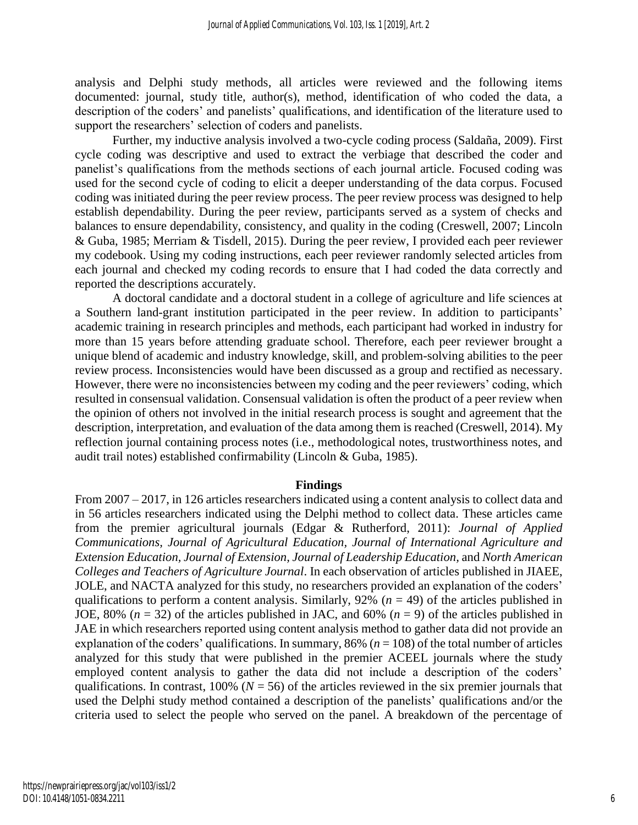analysis and Delphi study methods, all articles were reviewed and the following items documented: journal, study title, author(s), method, identification of who coded the data, a description of the coders' and panelists' qualifications, and identification of the literature used to support the researchers' selection of coders and panelists.

Further, my inductive analysis involved a two-cycle coding process (Saldaña, 2009). First cycle coding was descriptive and used to extract the verbiage that described the coder and panelist's qualifications from the methods sections of each journal article. Focused coding was used for the second cycle of coding to elicit a deeper understanding of the data corpus. Focused coding was initiated during the peer review process. The peer review process was designed to help establish dependability. During the peer review, participants served as a system of checks and balances to ensure dependability, consistency, and quality in the coding (Creswell, 2007; Lincoln & Guba, 1985; Merriam & Tisdell, 2015). During the peer review, I provided each peer reviewer my codebook. Using my coding instructions, each peer reviewer randomly selected articles from each journal and checked my coding records to ensure that I had coded the data correctly and reported the descriptions accurately.

A doctoral candidate and a doctoral student in a college of agriculture and life sciences at a Southern land-grant institution participated in the peer review. In addition to participants' academic training in research principles and methods, each participant had worked in industry for more than 15 years before attending graduate school. Therefore, each peer reviewer brought a unique blend of academic and industry knowledge, skill, and problem-solving abilities to the peer review process. Inconsistencies would have been discussed as a group and rectified as necessary. However, there were no inconsistencies between my coding and the peer reviewers' coding, which resulted in consensual validation. Consensual validation is often the product of a peer review when the opinion of others not involved in the initial research process is sought and agreement that the description, interpretation, and evaluation of the data among them is reached (Creswell, 2014). My reflection journal containing process notes (i.e., methodological notes, trustworthiness notes, and audit trail notes) established confirmability (Lincoln & Guba, 1985).

## **Findings**

From 2007 – 2017, in 126 articles researchers indicated using a content analysis to collect data and in 56 articles researchers indicated using the Delphi method to collect data. These articles came from the premier agricultural journals (Edgar & Rutherford, 2011): *Journal of Applied Communications, Journal of Agricultural Education, Journal of International Agriculture and Extension Education, Journal of Extension, Journal of Leadership Education,* and *North American Colleges and Teachers of Agriculture Journal*. In each observation of articles published in JIAEE, JOLE, and NACTA analyzed for this study, no researchers provided an explanation of the coders' qualifications to perform a content analysis. Similarly, 92% (*n* = 49) of the articles published in JOE, 80% ( $n = 32$ ) of the articles published in JAC, and 60% ( $n = 9$ ) of the articles published in JAE in which researchers reported using content analysis method to gather data did not provide an explanation of the coders' qualifications. In summary,  $86\%$  ( $n = 108$ ) of the total number of articles analyzed for this study that were published in the premier ACEEL journals where the study employed content analysis to gather the data did not include a description of the coders' qualifications. In contrast,  $100\%$  ( $N = 56$ ) of the articles reviewed in the six premier journals that used the Delphi study method contained a description of the panelists' qualifications and/or the criteria used to select the people who served on the panel. A breakdown of the percentage of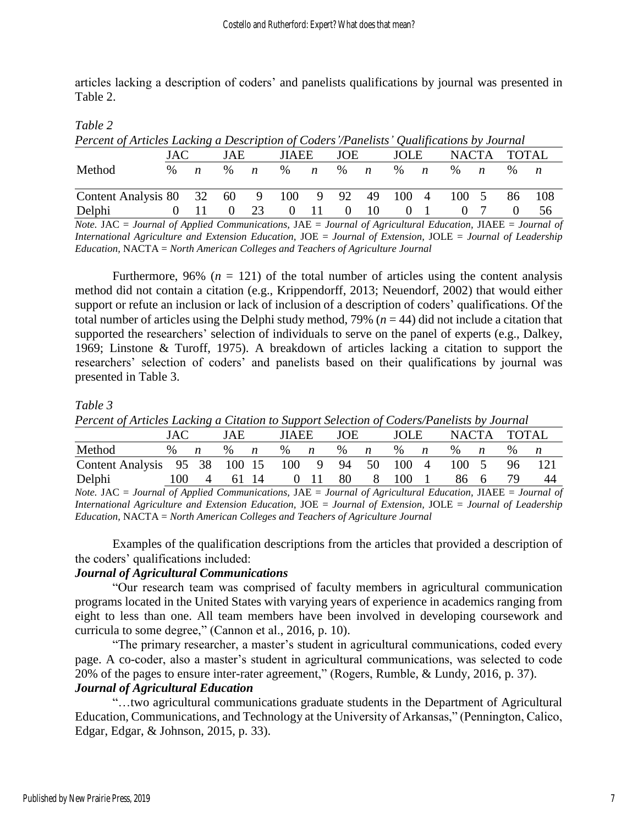articles lacking a description of coders' and panelists qualifications by journal was presented in Table 2.

## *Table 2*

| Percent of Articles Lacking a Description of Coders'/Panelists' Qualifications by Journal |      |           |      |                |          |              |      |        |               |  |               |  |       |     |
|-------------------------------------------------------------------------------------------|------|-----------|------|----------------|----------|--------------|------|--------|---------------|--|---------------|--|-------|-----|
|                                                                                           | JAC. |           | JAE. |                | JIAEE    |              | JOE. |        | JOLE          |  | <b>NACTA</b>  |  | TOTAL |     |
| Method                                                                                    | $\%$ | $\cdot$ n | $\%$ | $\overline{n}$ | $\%$     | $\mathbf{n}$ |      | $\%$ n | $\%$ n        |  | $\%$ n        |  |       |     |
| Content Analysis 80 32 60 9 100 9 92                                                      |      |           |      |                |          |              |      | 49     | $100 \quad 4$ |  | $100 \quad 5$ |  | 86    | 108 |
| Delphi                                                                                    |      |           |      | 23             | $\Omega$ | 11           |      | -10    |               |  |               |  |       | 56  |

*Note.* JAC = *Journal of Applied Communications,* JAE = *Journal of Agricultural Education,* JIAEE = *Journal of International Agriculture and Extension Education,* JOE = *Journal of Extension,* JOLE = *Journal of Leadership Education,* NACTA = *North American Colleges and Teachers of Agriculture Journal*

Furthermore,  $96\%$  ( $n = 121$ ) of the total number of articles using the content analysis method did not contain a citation (e.g., Krippendorff, 2013; Neuendorf, 2002) that would either support or refute an inclusion or lack of inclusion of a description of coders' qualifications. Of the total number of articles using the Delphi study method, 79% (*n* = 44) did not include a citation that supported the researchers' selection of individuals to serve on the panel of experts (e.g., Dalkey, 1969; Linstone & Turoff, 1975). A breakdown of articles lacking a citation to support the researchers' selection of coders' and panelists based on their qualifications by journal was presented in Table 3.

## *Table 3*

|  |  | Percent of Articles Lacking a Citation to Support Selection of Coders/Panelists by Journal |
|--|--|--------------------------------------------------------------------------------------------|
|  |  |                                                                                            |

|                               | JAC  |   | JAE   |                  | JIAEE |                  | JOE  |               | JOLE  |                |     |                 | NACTA TOTAL |    |
|-------------------------------|------|---|-------|------------------|-------|------------------|------|---------------|-------|----------------|-----|-----------------|-------------|----|
| Method                        | $\%$ | n | $\%$  | $\boldsymbol{n}$ | $\%$  | $\boldsymbol{n}$ | $\%$ | $\mathfrak n$ | $\%$  | $\overline{n}$ | %   | n               | $\%$        |    |
| Content Analysis 95 38 100 15 |      |   |       |                  | 100   | - 9              | 94   | 50            | 100 4 |                | 100 | $5\overline{)}$ | 96          |    |
| Delphi                        | 100  | 4 | 61 14 |                  |       |                  | 80   | 8             | 100   |                | 86  | h               | 79          | 44 |

*Note.* JAC = *Journal of Applied Communications,* JAE = *Journal of Agricultural Education,* JIAEE = *Journal of International Agriculture and Extension Education,* JOE = *Journal of Extension,* JOLE = *Journal of Leadership Education,* NACTA = *North American Colleges and Teachers of Agriculture Journal*

Examples of the qualification descriptions from the articles that provided a description of the coders' qualifications included:

## *Journal of Agricultural Communications*

"Our research team was comprised of faculty members in agricultural communication programs located in the United States with varying years of experience in academics ranging from eight to less than one. All team members have been involved in developing coursework and curricula to some degree," (Cannon et al., 2016, p. 10).

"The primary researcher, a master's student in agricultural communications, coded every page. A co-coder, also a master's student in agricultural communications, was selected to code 20% of the pages to ensure inter-rater agreement," (Rogers, Rumble, & Lundy, 2016, p. 37). *Journal of Agricultural Education*

"…two agricultural communications graduate students in the Department of Agricultural Education, Communications, and Technology at the University of Arkansas," (Pennington, Calico, Edgar, Edgar, & Johnson, 2015, p. 33).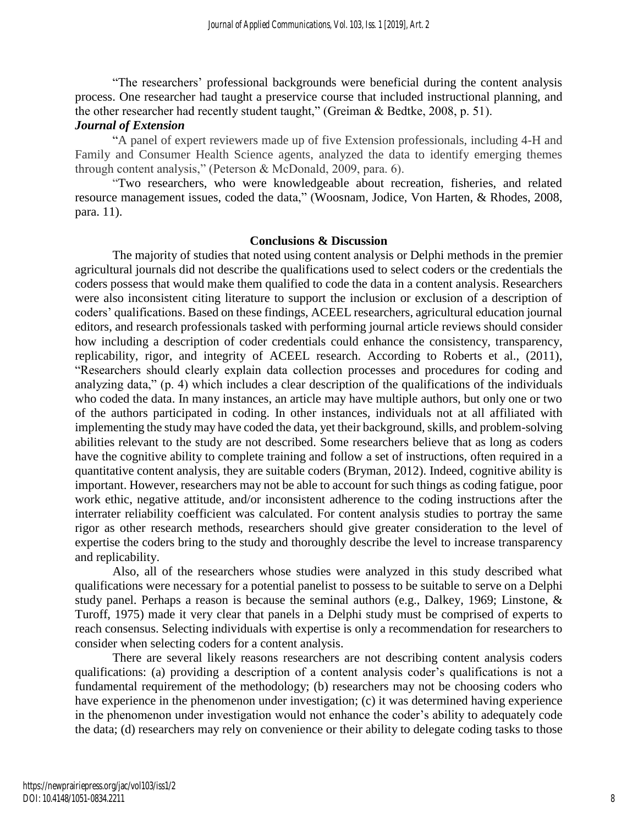"The researchers' professional backgrounds were beneficial during the content analysis process. One researcher had taught a preservice course that included instructional planning, and the other researcher had recently student taught," (Greiman & Bedtke, 2008, p. 51).

## *Journal of Extension*

"A panel of expert reviewers made up of five Extension professionals, including 4-H and Family and Consumer Health Science agents, analyzed the data to identify emerging themes through content analysis," (Peterson & McDonald, 2009, para. 6).

"Two researchers, who were knowledgeable about recreation, fisheries, and related resource management issues, coded the data," (Woosnam, Jodice, Von Harten, & Rhodes, 2008, para. 11).

## **Conclusions & Discussion**

The majority of studies that noted using content analysis or Delphi methods in the premier agricultural journals did not describe the qualifications used to select coders or the credentials the coders possess that would make them qualified to code the data in a content analysis. Researchers were also inconsistent citing literature to support the inclusion or exclusion of a description of coders' qualifications. Based on these findings, ACEEL researchers, agricultural education journal editors, and research professionals tasked with performing journal article reviews should consider how including a description of coder credentials could enhance the consistency, transparency, replicability, rigor, and integrity of ACEEL research. According to Roberts et al., (2011), "Researchers should clearly explain data collection processes and procedures for coding and analyzing data," (p. 4) which includes a clear description of the qualifications of the individuals who coded the data. In many instances, an article may have multiple authors, but only one or two of the authors participated in coding. In other instances, individuals not at all affiliated with implementing the study may have coded the data, yet their background, skills, and problem-solving abilities relevant to the study are not described. Some researchers believe that as long as coders have the cognitive ability to complete training and follow a set of instructions, often required in a quantitative content analysis, they are suitable coders (Bryman, 2012). Indeed, cognitive ability is important. However, researchers may not be able to account for such things as coding fatigue, poor work ethic, negative attitude, and/or inconsistent adherence to the coding instructions after the interrater reliability coefficient was calculated. For content analysis studies to portray the same rigor as other research methods, researchers should give greater consideration to the level of expertise the coders bring to the study and thoroughly describe the level to increase transparency and replicability.

Also, all of the researchers whose studies were analyzed in this study described what qualifications were necessary for a potential panelist to possess to be suitable to serve on a Delphi study panel. Perhaps a reason is because the seminal authors (e.g., Dalkey, 1969; Linstone, & Turoff, 1975) made it very clear that panels in a Delphi study must be comprised of experts to reach consensus. Selecting individuals with expertise is only a recommendation for researchers to consider when selecting coders for a content analysis.

There are several likely reasons researchers are not describing content analysis coders qualifications: (a) providing a description of a content analysis coder's qualifications is not a fundamental requirement of the methodology; (b) researchers may not be choosing coders who have experience in the phenomenon under investigation; (c) it was determined having experience in the phenomenon under investigation would not enhance the coder's ability to adequately code the data; (d) researchers may rely on convenience or their ability to delegate coding tasks to those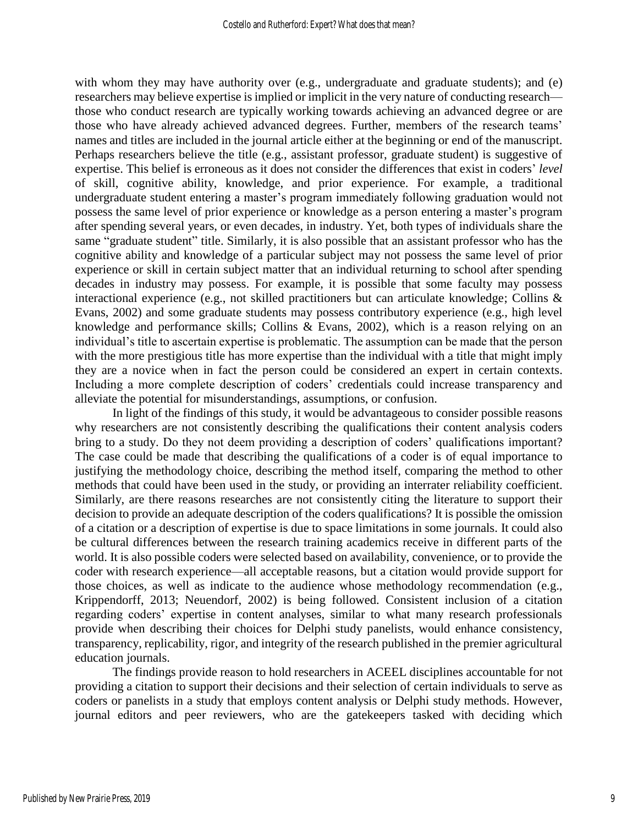with whom they may have authority over (e.g., undergraduate and graduate students); and (e) researchers may believe expertise is implied or implicit in the very nature of conducting research those who conduct research are typically working towards achieving an advanced degree or are those who have already achieved advanced degrees. Further, members of the research teams' names and titles are included in the journal article either at the beginning or end of the manuscript. Perhaps researchers believe the title (e.g., assistant professor, graduate student) is suggestive of expertise. This belief is erroneous as it does not consider the differences that exist in coders' *level*  of skill, cognitive ability, knowledge, and prior experience. For example, a traditional undergraduate student entering a master's program immediately following graduation would not possess the same level of prior experience or knowledge as a person entering a master's program after spending several years, or even decades, in industry. Yet, both types of individuals share the same "graduate student" title. Similarly, it is also possible that an assistant professor who has the cognitive ability and knowledge of a particular subject may not possess the same level of prior experience or skill in certain subject matter that an individual returning to school after spending decades in industry may possess. For example, it is possible that some faculty may possess interactional experience (e.g., not skilled practitioners but can articulate knowledge; Collins & Evans, 2002) and some graduate students may possess contributory experience (e.g., high level knowledge and performance skills; Collins & Evans, 2002), which is a reason relying on an individual's title to ascertain expertise is problematic. The assumption can be made that the person with the more prestigious title has more expertise than the individual with a title that might imply they are a novice when in fact the person could be considered an expert in certain contexts. Including a more complete description of coders' credentials could increase transparency and alleviate the potential for misunderstandings, assumptions, or confusion.

In light of the findings of this study, it would be advantageous to consider possible reasons why researchers are not consistently describing the qualifications their content analysis coders bring to a study. Do they not deem providing a description of coders' qualifications important? The case could be made that describing the qualifications of a coder is of equal importance to justifying the methodology choice, describing the method itself, comparing the method to other methods that could have been used in the study, or providing an interrater reliability coefficient. Similarly, are there reasons researches are not consistently citing the literature to support their decision to provide an adequate description of the coders qualifications? It is possible the omission of a citation or a description of expertise is due to space limitations in some journals. It could also be cultural differences between the research training academics receive in different parts of the world. It is also possible coders were selected based on availability, convenience, or to provide the coder with research experience—all acceptable reasons, but a citation would provide support for those choices, as well as indicate to the audience whose methodology recommendation (e.g., Krippendorff, 2013; Neuendorf, 2002) is being followed. Consistent inclusion of a citation regarding coders' expertise in content analyses, similar to what many research professionals provide when describing their choices for Delphi study panelists, would enhance consistency, transparency, replicability, rigor, and integrity of the research published in the premier agricultural education journals.

The findings provide reason to hold researchers in ACEEL disciplines accountable for not providing a citation to support their decisions and their selection of certain individuals to serve as coders or panelists in a study that employs content analysis or Delphi study methods. However, journal editors and peer reviewers, who are the gatekeepers tasked with deciding which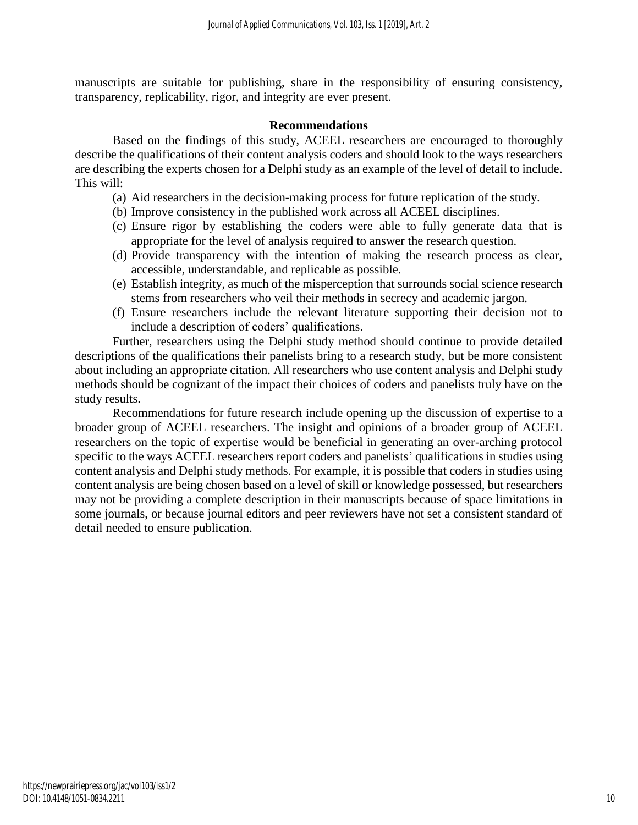manuscripts are suitable for publishing, share in the responsibility of ensuring consistency, transparency, replicability, rigor, and integrity are ever present.

## **Recommendations**

Based on the findings of this study, ACEEL researchers are encouraged to thoroughly describe the qualifications of their content analysis coders and should look to the ways researchers are describing the experts chosen for a Delphi study as an example of the level of detail to include. This will:

- (a) Aid researchers in the decision-making process for future replication of the study.
- (b) Improve consistency in the published work across all ACEEL disciplines.
- (c) Ensure rigor by establishing the coders were able to fully generate data that is appropriate for the level of analysis required to answer the research question.
- (d) Provide transparency with the intention of making the research process as clear, accessible, understandable, and replicable as possible.
- (e) Establish integrity, as much of the misperception that surrounds social science research stems from researchers who veil their methods in secrecy and academic jargon.
- (f) Ensure researchers include the relevant literature supporting their decision not to include a description of coders' qualifications.

Further, researchers using the Delphi study method should continue to provide detailed descriptions of the qualifications their panelists bring to a research study, but be more consistent about including an appropriate citation. All researchers who use content analysis and Delphi study methods should be cognizant of the impact their choices of coders and panelists truly have on the study results.

Recommendations for future research include opening up the discussion of expertise to a broader group of ACEEL researchers. The insight and opinions of a broader group of ACEEL researchers on the topic of expertise would be beneficial in generating an over-arching protocol specific to the ways ACEEL researchers report coders and panelists' qualifications in studies using content analysis and Delphi study methods. For example, it is possible that coders in studies using content analysis are being chosen based on a level of skill or knowledge possessed, but researchers may not be providing a complete description in their manuscripts because of space limitations in some journals, or because journal editors and peer reviewers have not set a consistent standard of detail needed to ensure publication.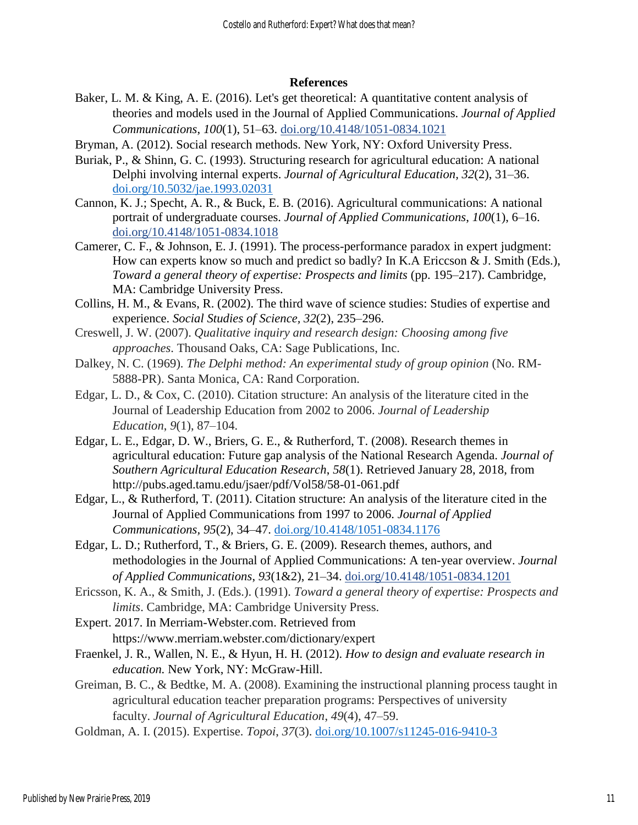## **References**

- Baker, L. M. & King, A. E. (2016). Let's get theoretical: A quantitative content analysis of theories and models used in the Journal of Applied Communications. *Journal of Applied Communications*, *100*(1), 51–63. [doi.org/10.4148/1051-0834.1021](https://doi.org/10.4148/1051-0834.1021)
- Bryman, A. (2012). Social research methods. New York, NY: Oxford University Press.
- Buriak, P., & Shinn, G. C. (1993). Structuring research for agricultural education: A national Delphi involving internal experts. *Journal of Agricultural Education, 32*(2), 31–36. [doi.org/10.5032/jae.1993.02031](http://www.jae-online.org/index.php/back-issues/72-volume-34-number-2-1993/695-structuring-research-for-agricultural-education-a-national-delphi-involving-internal-experts-)
- Cannon, K. J.; Specht, A. R., & Buck, E. B. (2016). Agricultural communications: A national portrait of undergraduate courses. *Journal of Applied Communications*, *100*(1), 6–16. [doi.org/10.4148/1051-0834.1018](https://doi.org/10.4148/1051-0834.1018)
- Camerer, C. F., & Johnson, E. J. (1991). The process-performance paradox in expert judgment: How can experts know so much and predict so badly? In K.A Ericcson & J. Smith (Eds.), *Toward a general theory of expertise: Prospects and limits (pp. 195–217). Cambridge,* MA: Cambridge University Press.
- Collins, H. M., & Evans, R. (2002). The third wave of science studies: Studies of expertise and experience. *Social Studies of Science, 32*(2), 235–296.
- Creswell, J. W. (2007). *Qualitative inquiry and research design: Choosing among five approaches*. Thousand Oaks, CA: Sage Publications, Inc.
- Dalkey, N. C. (1969). *The Delphi method: An experimental study of group opinion* (No. RM-5888-PR). Santa Monica, CA: Rand Corporation.
- Edgar, L. D., & Cox, C. (2010). Citation structure: An analysis of the literature cited in the Journal of Leadership Education from 2002 to 2006. *Journal of Leadership Education*, *9*(1), 87–104.
- Edgar, L. E., Edgar, D. W., Briers, G. E., & Rutherford, T. (2008). Research themes in agricultural education: Future gap analysis of the National Research Agenda. *Journal of Southern Agricultural Education Research*, *58*(1). Retrieved January 28, 2018, from http://pubs.aged.tamu.edu/jsaer/pdf/Vol58/58-01-061.pdf
- Edgar, L., & Rutherford, T. (2011). Citation structure: An analysis of the literature cited in the Journal of Applied Communications from 1997 to 2006. *Journal of Applied Communications, 95*(2), 34–47. [doi.org/10.4148/1051-0834.1176](http://newprairiepress.org/jac/vol95/iss2/4/)
- Edgar, L. D.; Rutherford, T., & Briers, G. E. (2009). Research themes, authors, and methodologies in the Journal of Applied Communications: A ten-year overview. *Journal of Applied Communications*, *93*(1&2), 21–34. [doi.org/10.4148/1051-0834.1201](https://doi.org/10.4148/1051-0834.1201)
- Ericsson, K. A., & Smith, J. (Eds.). (1991). *Toward a general theory of expertise: Prospects and limits*. Cambridge, MA: Cambridge University Press.
- Expert. 2017. In Merriam-Webster.com. Retrieved from https://www.merriam.webster.com/dictionary/expert
- Fraenkel, J. R., Wallen, N. E., & Hyun, H. H. (2012). *How to design and evaluate research in education.* New York, NY: McGraw-Hill.
- Greiman, B. C., & Bedtke, M. A. (2008). Examining the instructional planning process taught in agricultural education teacher preparation programs: Perspectives of university faculty. *Journal of Agricultural Education*, *49*(4), 47–59.
- Goldman, A. I. (2015). Expertise. *Topoi*, *37*(3). [doi.org/10.1007/s11245-016-9410-3](https://link.springer.com/article/10.1007%2Fs11245-016-9410-3)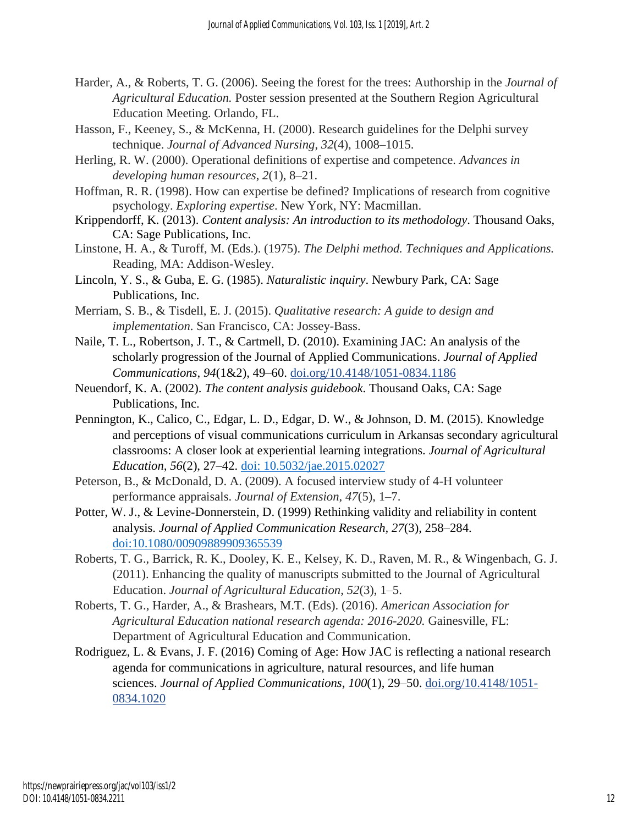- Harder, A., & Roberts, T. G. (2006). Seeing the forest for the trees: Authorship in the *Journal of Agricultural Education.* Poster session presented at the Southern Region Agricultural Education Meeting. Orlando, FL.
- Hasson, F., Keeney, S., & McKenna, H. (2000). Research guidelines for the Delphi survey technique. *Journal of Advanced Nursing*, *32*(4), 1008–1015.
- Herling, R. W. (2000). Operational definitions of expertise and competence. *Advances in developing human resources*, *2*(1), 8–21.
- Hoffman, R. R. (1998). How can expertise be defined? Implications of research from cognitive psychology. *Exploring expertise*. New York, NY: Macmillan.
- Krippendorff, K. (2013). *Content analysis: An introduction to its methodology*. Thousand Oaks, CA: Sage Publications, Inc.
- Linstone, H. A., & Turoff, M. (Eds.). (1975). *The Delphi method. Techniques and Applications.*  Reading, MA: Addison-Wesley.
- Lincoln, Y. S., & Guba, E. G. (1985). *Naturalistic inquiry*. Newbury Park, CA: Sage Publications, Inc.
- Merriam, S. B., & Tisdell, E. J. (2015). *Qualitative research: A guide to design and implementation*. San Francisco, CA: Jossey-Bass.
- Naile, T. L., Robertson, J. T., & Cartmell, D. (2010). Examining JAC: An analysis of the scholarly progression of the Journal of Applied Communications. *Journal of Applied Communications*, *94*(1&2), 49–60. [doi.org/10.4148/1051-0834.1186](https://doi.org/10.4148/1051-0834.1186)
- Neuendorf, K. A. (2002). *The content analysis guidebook*. Thousand Oaks, CA: Sage Publications, Inc.
- Pennington, K., Calico, C., Edgar, L. D., Edgar, D. W., & Johnson, D. M. (2015). Knowledge and perceptions of visual communications curriculum in Arkansas secondary agricultural classrooms: A closer look at experiential learning integrations. *Journal of Agricultural Education, 56*(2), 27–42. [doi: 10.5032/jae.2015.02027](https://eric.ed.gov/?id=EJ1122696)
- Peterson, B., & McDonald, D. A. (2009). A focused interview study of 4-H volunteer performance appraisals. *Journal of Extension*, *47*(5), 1–7.
- Potter, W. J., & Levine‐Donnerstein, D. (1999) Rethinking validity and reliability in content analysis. *Journal of Applied Communication Research, 27*(3), 258–284. [doi:10.1080/00909889909365539](https://nca.tandfonline.com/doi/abs/10.1080/00909889909365539#.WwbowEgvzct)
- Roberts, T. G., Barrick, R. K., Dooley, K. E., Kelsey, K. D., Raven, M. R., & Wingenbach, G. J. (2011). Enhancing the quality of manuscripts submitted to the Journal of Agricultural Education. *Journal of Agricultural Education*, *52*(3), 1–5.
- Roberts, T. G., Harder, A., & Brashears, M.T. (Eds). (2016). *American Association for Agricultural Education national research agenda: 2016-2020.* Gainesville, FL: Department of Agricultural Education and Communication.
- Rodriguez, L. & Evans, J. F. (2016) Coming of Age: How JAC is reflecting a national research agenda for communications in agriculture, natural resources, and life human sciences. *Journal of Applied Communications*, *100*(1), 29–50. [doi.org/10.4148/1051-](https://doi.org/10.4148/1051-0834.1020) [0834.1020](https://doi.org/10.4148/1051-0834.1020)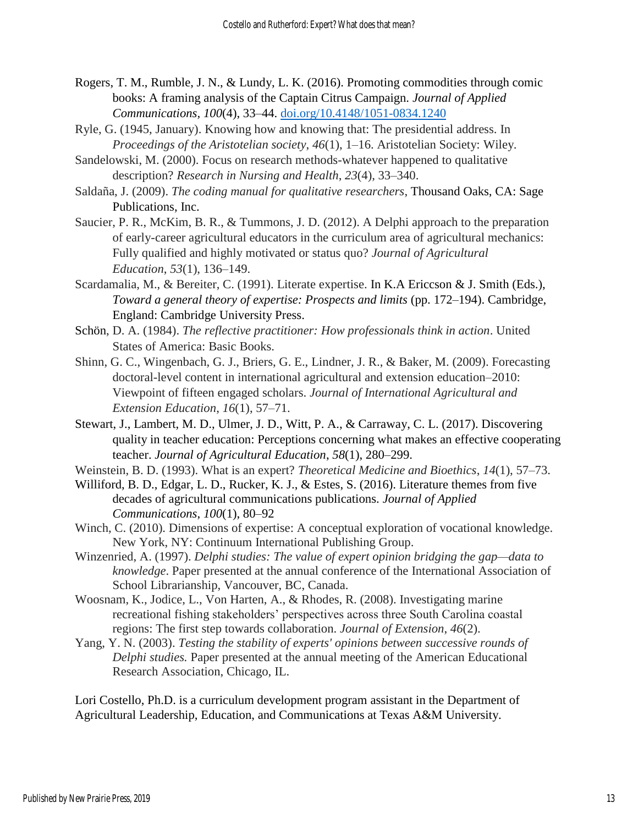- Rogers, T. M., Rumble, J. N., & Lundy, L. K. (2016). Promoting commodities through comic books: A framing analysis of the Captain Citrus Campaign. *Journal of Applied Communications, 100*(4), 33–44. [doi.org/10.4148/1051-0834.1240](http://newprairiepress.org/jac/vol100/iss4/4/)
- Ryle, G. (1945, January). Knowing how and knowing that: The presidential address. In *Proceedings of the Aristotelian society*, *46*(1), 1–16. Aristotelian Society: Wiley.
- Sandelowski, M. (2000). Focus on research methods-whatever happened to qualitative description? *Research in Nursing and Health*, *23*(4), 33–340.
- Saldaña, J. (2009). *The coding manual for qualitative researchers*, Thousand Oaks, CA: Sage Publications, Inc.
- Saucier, P. R., McKim, B. R., & Tummons, J. D. (2012). A Delphi approach to the preparation of early-career agricultural educators in the curriculum area of agricultural mechanics: Fully qualified and highly motivated or status quo? *Journal of Agricultural Education*, *53*(1), 136–149.
- Scardamalia, M., & Bereiter, C. (1991). Literate expertise. In K.A Ericcson & J. Smith (Eds.), *Toward a general theory of expertise: Prospects and limits (pp. 172–194). Cambridge,* England: Cambridge University Press.
- Schön, D. A. (1984). *The reflective practitioner: How professionals think in action*. United States of America: Basic Books.
- Shinn, G. C., Wingenbach, G. J., Briers, G. E., Lindner, J. R., & Baker, M. (2009). Forecasting doctoral-level content in international agricultural and extension education–2010: Viewpoint of fifteen engaged scholars. *Journal of International Agricultural and Extension Education*, *16*(1), 57–71.
- Stewart, J., Lambert, M. D., Ulmer, J. D., Witt, P. A., & Carraway, C. L. (2017). Discovering quality in teacher education: Perceptions concerning what makes an effective cooperating teacher. *Journal of Agricultural Education*, *58*(1), 280–299.
- Weinstein, B. D. (1993). What is an expert? *Theoretical Medicine and Bioethics*, *14*(1), 57–73.
- Williford, B. D., Edgar, L. D., Rucker, K. J., & Estes, S. (2016). Literature themes from five decades of agricultural communications publications. *Journal of Applied Communications*, *100*(1), 80–92
- Winch, C. (2010). Dimensions of expertise: A conceptual exploration of vocational knowledge. New York, NY: Continuum International Publishing Group.
- Winzenried, A. (1997). *Delphi studies: The value of expert opinion bridging the gap—data to knowledge*. Paper presented at the annual conference of the International Association of School Librarianship, Vancouver, BC, Canada.
- Woosnam, K., Jodice, L., Von Harten, A., & Rhodes, R. (2008). Investigating marine recreational fishing stakeholders' perspectives across three South Carolina coastal regions: The first step towards collaboration. *Journal of Extension*, *46*(2).
- Yang, Y. N. (2003). *Testing the stability of experts' opinions between successive rounds of Delphi studies.* Paper presented at the annual meeting of the American Educational Research Association, Chicago, IL.

Lori Costello, Ph.D. is a curriculum development program assistant in the Department of Agricultural Leadership, Education, and Communications at Texas A&M University.